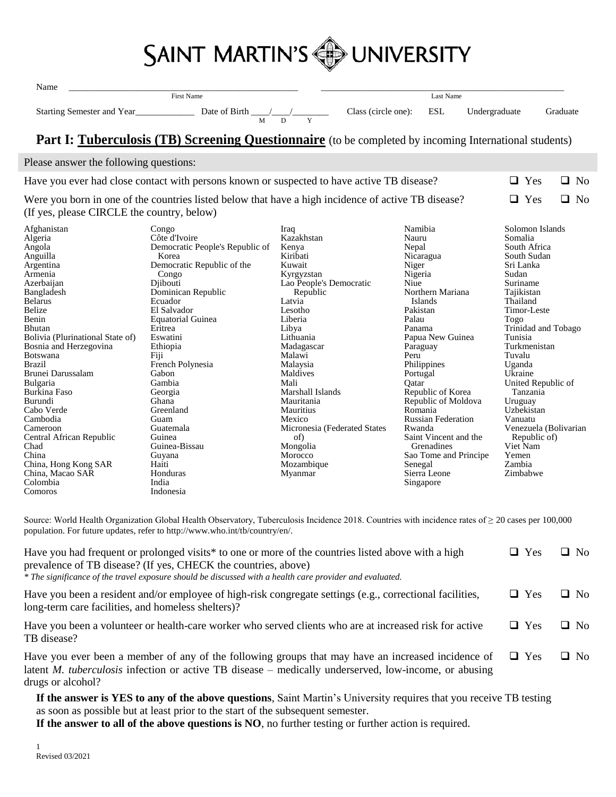

| Name                                                                                                                                                                                                                                                                                                                                                                                                                                                         |                                                                                                                                                                                                                                                                                                                                                                                                                           |                                                                                                                                                                                                                                                                                                                                                                              | Last Name                                                                                                                                                                                                                                                                                                                                                                                                          |                                                                                                                                                                                                                                                                                                                   |                                                                    |  |
|--------------------------------------------------------------------------------------------------------------------------------------------------------------------------------------------------------------------------------------------------------------------------------------------------------------------------------------------------------------------------------------------------------------------------------------------------------------|---------------------------------------------------------------------------------------------------------------------------------------------------------------------------------------------------------------------------------------------------------------------------------------------------------------------------------------------------------------------------------------------------------------------------|------------------------------------------------------------------------------------------------------------------------------------------------------------------------------------------------------------------------------------------------------------------------------------------------------------------------------------------------------------------------------|--------------------------------------------------------------------------------------------------------------------------------------------------------------------------------------------------------------------------------------------------------------------------------------------------------------------------------------------------------------------------------------------------------------------|-------------------------------------------------------------------------------------------------------------------------------------------------------------------------------------------------------------------------------------------------------------------------------------------------------------------|--------------------------------------------------------------------|--|
| First Name                                                                                                                                                                                                                                                                                                                                                                                                                                                   |                                                                                                                                                                                                                                                                                                                                                                                                                           |                                                                                                                                                                                                                                                                                                                                                                              |                                                                                                                                                                                                                                                                                                                                                                                                                    |                                                                                                                                                                                                                                                                                                                   |                                                                    |  |
|                                                                                                                                                                                                                                                                                                                                                                                                                                                              |                                                                                                                                                                                                                                                                                                                                                                                                                           | Class (circle one):                                                                                                                                                                                                                                                                                                                                                          | ESL                                                                                                                                                                                                                                                                                                                                                                                                                | Undergraduate                                                                                                                                                                                                                                                                                                     | Graduate                                                           |  |
|                                                                                                                                                                                                                                                                                                                                                                                                                                                              | Part I: Tuberculosis (TB) Screening Questionnaire (to be completed by incoming International students)                                                                                                                                                                                                                                                                                                                    |                                                                                                                                                                                                                                                                                                                                                                              |                                                                                                                                                                                                                                                                                                                                                                                                                    |                                                                                                                                                                                                                                                                                                                   |                                                                    |  |
|                                                                                                                                                                                                                                                                                                                                                                                                                                                              |                                                                                                                                                                                                                                                                                                                                                                                                                           |                                                                                                                                                                                                                                                                                                                                                                              |                                                                                                                                                                                                                                                                                                                                                                                                                    |                                                                                                                                                                                                                                                                                                                   |                                                                    |  |
| Please answer the following questions:                                                                                                                                                                                                                                                                                                                                                                                                                       |                                                                                                                                                                                                                                                                                                                                                                                                                           |                                                                                                                                                                                                                                                                                                                                                                              |                                                                                                                                                                                                                                                                                                                                                                                                                    |                                                                                                                                                                                                                                                                                                                   |                                                                    |  |
|                                                                                                                                                                                                                                                                                                                                                                                                                                                              | Have you ever had close contact with persons known or suspected to have active TB disease?                                                                                                                                                                                                                                                                                                                                |                                                                                                                                                                                                                                                                                                                                                                              |                                                                                                                                                                                                                                                                                                                                                                                                                    | $\Box$ Yes                                                                                                                                                                                                                                                                                                        | $\Box$ No                                                          |  |
|                                                                                                                                                                                                                                                                                                                                                                                                                                                              | Were you born in one of the countries listed below that have a high incidence of active TB disease?                                                                                                                                                                                                                                                                                                                       |                                                                                                                                                                                                                                                                                                                                                                              |                                                                                                                                                                                                                                                                                                                                                                                                                    | $\Box$<br>Yes                                                                                                                                                                                                                                                                                                     | $\Box$ No                                                          |  |
| (If yes, please CIRCLE the country, below)                                                                                                                                                                                                                                                                                                                                                                                                                   |                                                                                                                                                                                                                                                                                                                                                                                                                           |                                                                                                                                                                                                                                                                                                                                                                              |                                                                                                                                                                                                                                                                                                                                                                                                                    |                                                                                                                                                                                                                                                                                                                   |                                                                    |  |
| Afghanistan<br>Algeria<br>Angola<br>Anguilla<br>Argentina<br>Armenia<br>Azerbaijan<br>Bangladesh<br><b>Belarus</b><br>Belize<br>Benin<br>Bhutan<br>Bolivia (Plurinational State of)<br>Bosnia and Herzegovina<br>Botswana<br><b>Brazil</b><br>Brunei Darussalam<br>Bulgaria<br>Burkina Faso<br>Burundi<br>Cabo Verde<br>Cambodia<br>Cameroon<br>Central African Republic<br>Chad<br>China<br>China, Hong Kong SAR<br>China, Macao SAR<br>Colombia<br>Comoros | Congo<br>Côte d'Ivoire<br>Democratic People's Republic of<br>Korea<br>Democratic Republic of the<br>Congo<br>Djibouti<br>Dominican Republic<br>Ecuador<br>El Salvador<br><b>Equatorial Guinea</b><br>Eritrea<br>Eswatini<br>Ethiopia<br>Fiji<br>French Polynesia<br>Gabon<br>Gambia<br>Georgia<br>Ghana<br>Greenland<br>Guam<br>Guatemala<br>Guinea<br>Guinea-Bissau<br>Guyana<br>Haiti<br>Honduras<br>India<br>Indonesia | Iraq<br>Kazakhstan<br>Kenya<br>Kiribati<br>Kuwait<br>Kyrgyzstan<br>Lao People's Democratic<br>Republic<br>Latvia<br>Lesotho<br>Liberia<br>Libya<br>Lithuania<br>Madagascar<br>Malawi<br>Malaysia<br>Maldives<br>Mali<br>Marshall Islands<br>Mauritania<br><b>Mauritius</b><br>Mexico<br>Micronesia (Federated States)<br>of)<br>Mongolia<br>Morocco<br>Mozambique<br>Myanmar | Namibia<br>Nauru<br>Nepal<br>Nicaragua<br>Niger<br>Nigeria<br>Niue<br>Northern Mariana<br>Islands<br>Pakistan<br>Palau<br>Panama<br>Papua New Guinea<br>Paraguay<br>Peru<br>Philippines<br>Portugal<br>Qatar<br>Republic of Korea<br>Republic of Moldova<br>Romania<br><b>Russian Federation</b><br>Rwanda<br>Saint Vincent and the<br>Grenadines<br>Sao Tome and Principe<br>Senegal<br>Sierra Leone<br>Singapore | Solomon Islands<br>Somalia<br>South Africa<br>South Sudan<br>Sri Lanka<br>Sudan<br>Suriname<br>Tajikistan<br>Thailand<br>Timor-Leste<br>Togo<br>Tunisia<br>Turkmenistan<br>Tuvalu<br>Uganda<br>Ukraine<br>Tanzania<br>Uruguay<br>Uzbekistan<br>Vanuatu<br>Republic of)<br>Viet Nam<br>Yemen<br>Zambia<br>Zimbabwe | Trinidad and Tobago<br>United Republic of<br>Venezuela (Bolivarian |  |
|                                                                                                                                                                                                                                                                                                                                                                                                                                                              | Source: World Health Organization Global Health Observatory, Tuberculosis Incidence 2018. Countries with incidence rates of $\geq 20$ cases per 100,000<br>population. For future updates, refer to http://www.who.int/tb/country/en/.                                                                                                                                                                                    |                                                                                                                                                                                                                                                                                                                                                                              |                                                                                                                                                                                                                                                                                                                                                                                                                    |                                                                                                                                                                                                                                                                                                                   |                                                                    |  |
|                                                                                                                                                                                                                                                                                                                                                                                                                                                              | Have you had frequent or prolonged visits* to one or more of the countries listed above with a high<br>prevalence of TB disease? (If yes, CHECK the countries, above)<br>* The significance of the travel exposure should be discussed with a health care provider and evaluated.                                                                                                                                         |                                                                                                                                                                                                                                                                                                                                                                              |                                                                                                                                                                                                                                                                                                                                                                                                                    | $\Box$ Yes                                                                                                                                                                                                                                                                                                        | $\Box$ No                                                          |  |
| long-term care facilities, and homeless shelters)?                                                                                                                                                                                                                                                                                                                                                                                                           | Have you been a resident and/or employee of high-risk congregate settings (e.g., correctional facilities,                                                                                                                                                                                                                                                                                                                 |                                                                                                                                                                                                                                                                                                                                                                              |                                                                                                                                                                                                                                                                                                                                                                                                                    | $\Box$ Yes                                                                                                                                                                                                                                                                                                        | $\Box$ No                                                          |  |

Have you been a volunteer or health-care worker who served clients who are at increased risk for active TB disease?  $\Box$  Yes  $\Box$  No

Have you ever been a member of any of the following groups that may have an increased incidence of latent *M. tuberculosis* infection or active TB disease – medically underserved, low-income, or abusing drugs or alcohol?  $\Box$  Yes  $\Box$  No

**If the answer is YES to any of the above questions**, Saint Martin's University requires that you receive TB testing as soon as possible but at least prior to the start of the subsequent semester.

**If the answer to all of the above questions is NO**, no further testing or further action is required.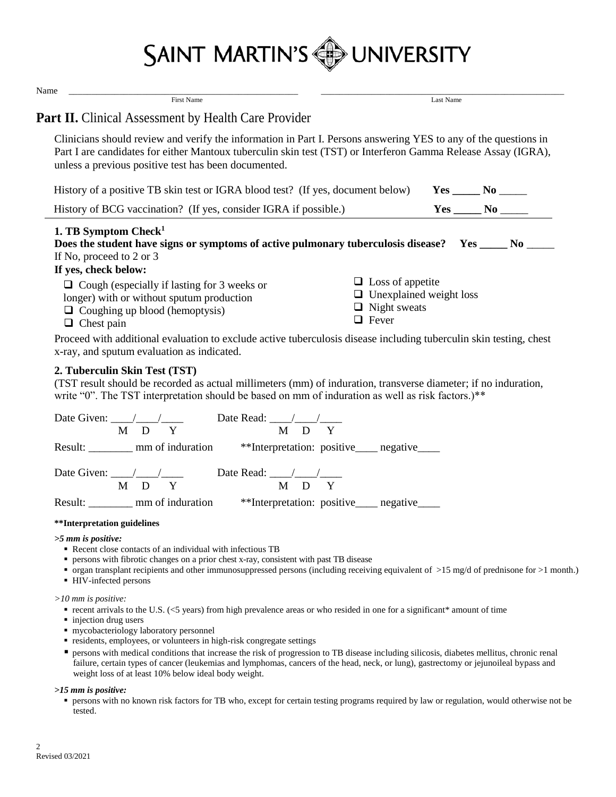

| Name                                                                                                                                                          |                                                                                                                                                                                                                                  |
|---------------------------------------------------------------------------------------------------------------------------------------------------------------|----------------------------------------------------------------------------------------------------------------------------------------------------------------------------------------------------------------------------------|
| <b>First Name</b>                                                                                                                                             | Last Name                                                                                                                                                                                                                        |
| <b>Part II.</b> Clinical Assessment by Health Care Provider                                                                                                   |                                                                                                                                                                                                                                  |
| unless a previous positive test has been documented.                                                                                                          | Clinicians should review and verify the information in Part I. Persons answering YES to any of the questions in<br>Part I are candidates for either Mantoux tuberculin skin test (TST) or Interferon Gamma Release Assay (IGRA), |
| History of a positive TB skin test or IGRA blood test? (If yes, document below)                                                                               | $Yes \_\_ No \_\_$                                                                                                                                                                                                               |
| History of BCG vaccination? (If yes, consider IGRA if possible.)                                                                                              | $Yes \_\_No \_\_$                                                                                                                                                                                                                |
| 1. TB Symptom Check <sup>1</sup><br>If No, proceed to 2 or 3<br>If yes, check below:                                                                          | Does the student have signs or symptoms of active pulmonary tuberculosis disease? Yes _____ No ____                                                                                                                              |
| $\Box$ Cough (especially if lasting for 3 weeks or<br>longer) with or without sputum production<br>$\Box$ Coughing up blood (hemoptysis)<br>$\Box$ Chest pain | $\Box$ Loss of appetite<br>$\Box$ Unexplained weight loss<br>$\Box$ Night sweats<br>$\Box$ Fever                                                                                                                                 |

Proceed with additional evaluation to exclude active tuberculosis disease including tuberculin skin testing, chest x-ray, and sputum evaluation as indicated.

### **2. Tuberculin Skin Test (TST)**

(TST result should be recorded as actual millimeters (mm) of induration, transverse diameter; if no induration, write "0". The TST interpretation should be based on mm of induration as well as risk factors.)\*\*

| Date Read: / /<br>Date Given: $\frac{1}{2}$                                                      |
|--------------------------------------------------------------------------------------------------|
| D<br>M<br>D<br>М                                                                                 |
| Result: ________ mm of induration **Interpretation: positive_____ negative_____                  |
| Date Read: $\frac{1}{\sqrt{1-\frac{1}{2}}}$<br>Date Given: $\angle$ / /<br>M<br>$D - Y$<br>M D Y |
| Result: mm of induration<br>**Interpretation: positive____ negative____                          |

#### **\*\*Interpretation guidelines**

*>5 mm is positive:* 

- Recent close contacts of an individual with infectious TB
- persons with fibrotic changes on a prior chest x-ray, consistent with past TB disease
- organ transplant recipients and other immunosuppressed persons (including receiving equivalent of >15 mg/d of prednisone for >1 month.)
- HIV-infected persons

#### *>10 mm is positive:*

- recent arrivals to the U.S. (<5 years) from high prevalence areas or who resided in one for a significant\* amount of time
- injection drug users
- mycobacteriology laboratory personnel
- residents, employees, or volunteers in high-risk congregate settings
- persons with medical conditions that increase the risk of progression to TB disease including silicosis, diabetes mellitus, chronic renal failure, certain types of cancer (leukemias and lymphomas, cancers of the head, neck, or lung), gastrectomy or jejunoileal bypass and weight loss of at least 10% below ideal body weight.

#### *>15 mm is positive:*

 persons with no known risk factors for TB who, except for certain testing programs required by law or regulation, would otherwise not be tested.